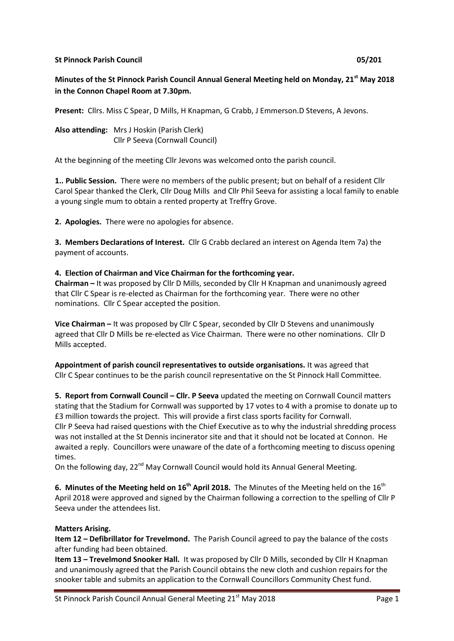#### **St Pinnock Parish Council 05/201**

# **Minutes of the St Pinnock Parish Council Annual General Meeting held on Monday, 21st May 2018 in the Connon Chapel Room at 7.30pm.**

**Present:** Cllrs. Miss C Spear, D Mills, H Knapman, G Crabb, J Emmerson.D Stevens, A Jevons.

**Also attending:** Mrs J Hoskin (Parish Clerk) Cllr P Seeva (Cornwall Council)

At the beginning of the meeting Cllr Jevons was welcomed onto the parish council.

**1.. Public Session.** There were no members of the public present; but on behalf of a resident Cllr Carol Spear thanked the Clerk, Cllr Doug Mills and Cllr Phil Seeva for assisting a local family to enable a young single mum to obtain a rented property at Treffry Grove.

**2. Apologies.** There were no apologies for absence.

**3. Members Declarations of Interest.** Cllr G Crabb declared an interest on Agenda Item 7a) the payment of accounts.

## **4. Election of Chairman and Vice Chairman for the forthcoming year.**

**Chairman –** It was proposed by Cllr D Mills, seconded by Cllr H Knapman and unanimously agreed that Cllr C Spear is re-elected as Chairman for the forthcoming year. There were no other nominations. Cllr C Spear accepted the position.

**Vice Chairman –** It was proposed by Cllr C Spear, seconded by Cllr D Stevens and unanimously agreed that Cllr D Mills be re-elected as Vice Chairman. There were no other nominations. Cllr D Mills accepted.

**Appointment of parish council representatives to outside organisations.** It was agreed that Cllr C Spear continues to be the parish council representative on the St Pinnock Hall Committee.

**5. Report from Cornwall Council – Cllr. P Seeva** updated the meeting on Cornwall Council matters stating that the Stadium for Cornwall was supported by 17 votes to 4 with a promise to donate up to £3 million towards the project. This will provide a first class sports facility for Cornwall. Cllr P Seeva had raised questions with the Chief Executive as to why the industrial shredding process was not installed at the St Dennis incinerator site and that it should not be located at Connon. He awaited a reply. Councillors were unaware of the date of a forthcoming meeting to discuss opening times.

On the following day, 22<sup>nd</sup> May Cornwall Council would hold its Annual General Meeting.

**6. Minutes of the Meeting held on 16<sup>th</sup> April 2018.** The Minutes of the Meeting held on the 16<sup>th</sup> April 2018 were approved and signed by the Chairman following a correction to the spelling of Cllr P Seeva under the attendees list.

# **Matters Arising.**

**Item 12 – Defibrillator for Trevelmond.** The Parish Council agreed to pay the balance of the costs after funding had been obtained.

**Item 13 – Trevelmond Snooker Hall.** It was proposed by Cllr D Mills, seconded by Cllr H Knapman and unanimously agreed that the Parish Council obtains the new cloth and cushion repairs for the snooker table and submits an application to the Cornwall Councillors Community Chest fund.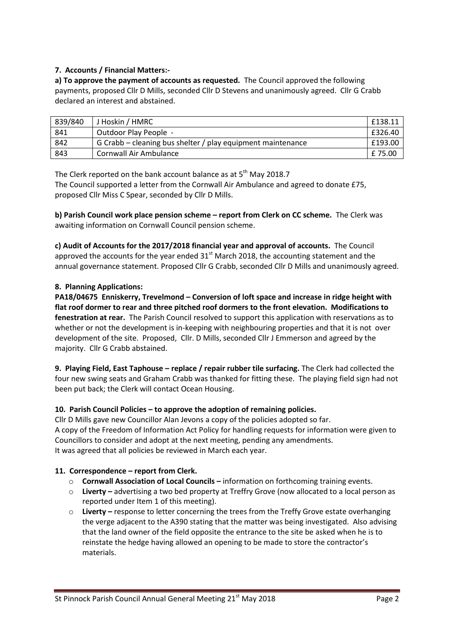### **7. Accounts / Financial Matters:-**

**a) To approve the payment of accounts as requested.** The Council approved the following payments, proposed Cllr D Mills, seconded Cllr D Stevens and unanimously agreed. Cllr G Crabb declared an interest and abstained.

| 839/840 | J Hoskin / HMRC                                             | £138.11 |
|---------|-------------------------------------------------------------|---------|
| 841     | Outdoor Play People -                                       | £326.40 |
| 842     | G Crabb – cleaning bus shelter / play equipment maintenance | £193.00 |
| 843     | Cornwall Air Ambulance                                      | £ 75.00 |

The Clerk reported on the bank account balance as at  $5<sup>th</sup>$  May 2018.7 The Council supported a letter from the Cornwall Air Ambulance and agreed to donate £75, proposed Cllr Miss C Spear, seconded by Cllr D Mills.

**b) Parish Council work place pension scheme – report from Clerk on CC scheme.** The Clerk was awaiting information on Cornwall Council pension scheme.

**c) Audit of Accounts for the 2017/2018 financial year and approval of accounts.** The Council approved the accounts for the year ended  $31<sup>st</sup>$  March 2018, the accounting statement and the annual governance statement. Proposed Cllr G Crabb, seconded Cllr D Mills and unanimously agreed.

### **8. Planning Applications:**

**PA18/04675 Enniskerry, Trevelmond – Conversion of loft space and increase in ridge height with flat roof dormer to rear and three pitched roof dormers to the front elevation. Modifications to fenestration at rear.** The Parish Council resolved to support this application with reservations as to whether or not the development is in-keeping with neighbouring properties and that it is not over development of the site. Proposed, Cllr. D Mills, seconded Cllr J Emmerson and agreed by the majority. Cllr G Crabb abstained.

**9. Playing Field, East Taphouse – replace / repair rubber tile surfacing.** The Clerk had collected the four new swing seats and Graham Crabb was thanked for fitting these. The playing field sign had not been put back; the Clerk will contact Ocean Housing.

### **10. Parish Council Policies – to approve the adoption of remaining policies.**

Cllr D Mills gave new Councillor Alan Jevons a copy of the policies adopted so far. A copy of the Freedom of Information Act Policy for handling requests for information were given to Councillors to consider and adopt at the next meeting, pending any amendments. It was agreed that all policies be reviewed in March each year.

### **11. Correspondence – report from Clerk.**

- o **Cornwall Association of Local Councils –** information on forthcoming training events.
- o **Liverty –** advertising a two bed property at Treffry Grove (now allocated to a local person as reported under Item 1 of this meeting).
- o **Liverty –** response to letter concerning the trees from the Treffy Grove estate overhanging the verge adjacent to the A390 stating that the matter was being investigated. Also advising that the land owner of the field opposite the entrance to the site be asked when he is to reinstate the hedge having allowed an opening to be made to store the contractor's materials.